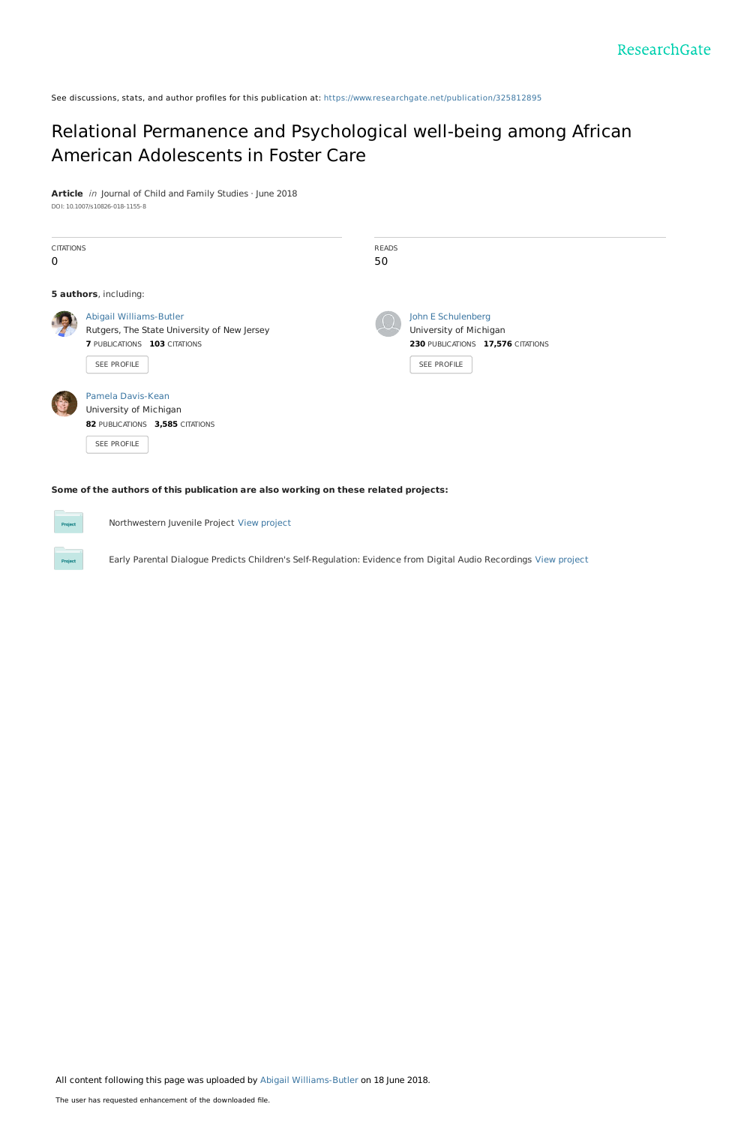See discussions, stats, and author profiles for this publication at: [https://www.researchgate.net/publication/325812895](https://www.researchgate.net/publication/325812895_Relational_Permanence_and_Psychological_well-being_among_African_American_Adolescents_in_Foster_Care?enrichId=rgreq-4b9a34b3f20315baa7e32beac903bd4e-XXX&enrichSource=Y292ZXJQYWdlOzMyNTgxMjg5NTtBUzo2Mzg4MDczODA2MDI4ODFAMTUyOTMxNDk1NjMzMg%3D%3D&el=1_x_2&_esc=publicationCoverPdf)

# Relational Permanence and [Psychological](https://www.researchgate.net/publication/325812895_Relational_Permanence_and_Psychological_well-being_among_African_American_Adolescents_in_Foster_Care?enrichId=rgreq-4b9a34b3f20315baa7e32beac903bd4e-XXX&enrichSource=Y292ZXJQYWdlOzMyNTgxMjg5NTtBUzo2Mzg4MDczODA2MDI4ODFAMTUyOTMxNDk1NjMzMg%3D%3D&el=1_x_3&_esc=publicationCoverPdf) well-being among African American Adolescents in Foster Care

**Article** in Journal of Child and Family Studies · June 2018 DOI: 10.1007/s10826-018-1155-8

| <b>CITATIONS</b><br>$\mathbf 0$ |                                                                                                                       | <b>READS</b><br>50 |                                                                                                  |
|---------------------------------|-----------------------------------------------------------------------------------------------------------------------|--------------------|--------------------------------------------------------------------------------------------------|
|                                 | 5 authors, including:                                                                                                 |                    |                                                                                                  |
|                                 | Abigail Williams-Butler<br>Rutgers, The State University of New Jersey<br>7 PUBLICATIONS 103 CITATIONS<br>SEE PROFILE |                    | John E Schulenberg<br>University of Michigan<br>230 PUBLICATIONS 17,576 CITATIONS<br>SEE PROFILE |
|                                 | Pamela Davis-Kean<br>University of Michigan<br>82 PUBLICATIONS 3,585 CITATIONS<br>SEE PROFILE                         |                    |                                                                                                  |

**Some of the authors of this publication are also working on these related projects:**

Project

Northwestern Juvenile Project View [project](https://www.researchgate.net/project/Northwestern-Juvenile-Project-2?enrichId=rgreq-4b9a34b3f20315baa7e32beac903bd4e-XXX&enrichSource=Y292ZXJQYWdlOzMyNTgxMjg5NTtBUzo2Mzg4MDczODA2MDI4ODFAMTUyOTMxNDk1NjMzMg%3D%3D&el=1_x_9&_esc=publicationCoverPdf)

Early Parental Dialogue Predicts Children's Self-Regulation: Evidence from Digital Audio Recordings View [project](https://www.researchgate.net/project/Early-Parental-Dialogue-Predicts-Childrens-Self-Regulation-Evidence-from-Digital-Audio-Recordings?enrichId=rgreq-4b9a34b3f20315baa7e32beac903bd4e-XXX&enrichSource=Y292ZXJQYWdlOzMyNTgxMjg5NTtBUzo2Mzg4MDczODA2MDI4ODFAMTUyOTMxNDk1NjMzMg%3D%3D&el=1_x_9&_esc=publicationCoverPdf)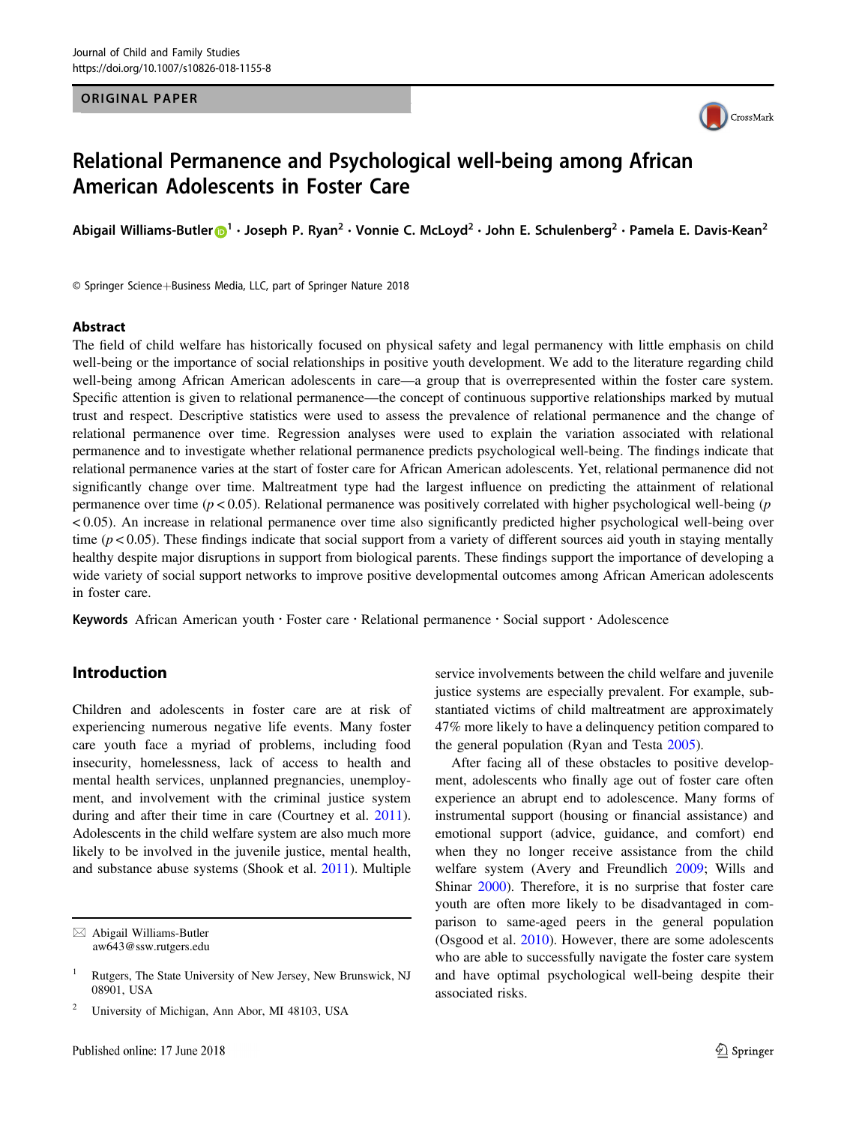### ORIGINAL PAPER



# Relational Permanence and Psychological well-being among African American Adolescents in Foster Care

Abigail Williams-Butler n<sup>[1](http://orcid.org/0000-0002-3594-5501)</sup> · Joseph P. Ryan<sup>2</sup> · Vonnie C. McLoyd<sup>2</sup> · John E. Schulenberg<sup>2</sup> · Pamela E. Davis-Kean<sup>2</sup>

© Springer Science+Business Media, LLC, part of Springer Nature 2018

#### Abstract

The field of child welfare has historically focused on physical safety and legal permanency with little emphasis on child well-being or the importance of social relationships in positive youth development. We add to the literature regarding child well-being among African American adolescents in care—a group that is overrepresented within the foster care system. Specific attention is given to relational permanence—the concept of continuous supportive relationships marked by mutual trust and respect. Descriptive statistics were used to assess the prevalence of relational permanence and the change of relational permanence over time. Regression analyses were used to explain the variation associated with relational permanence and to investigate whether relational permanence predicts psychological well-being. The findings indicate that relational permanence varies at the start of foster care for African American adolescents. Yet, relational permanence did not significantly change over time. Maltreatment type had the largest influence on predicting the attainment of relational permanence over time  $(p < 0.05)$ . Relational permanence was positively correlated with higher psychological well-being (p < 0.05). An increase in relational permanence over time also significantly predicted higher psychological well-being over time ( $p < 0.05$ ). These findings indicate that social support from a variety of different sources aid youth in staying mentally healthy despite major disruptions in support from biological parents. These findings support the importance of developing a wide variety of social support networks to improve positive developmental outcomes among African American adolescents in foster care.

Keywords African American youth · Foster care · Relational permanence · Social support · Adolescence

# Introduction

Children and adolescents in foster care are at risk of experiencing numerous negative life events. Many foster care youth face a myriad of problems, including food insecurity, homelessness, lack of access to health and mental health services, unplanned pregnancies, unemployment, and involvement with the criminal justice system during and after their time in care (Courtney et al. [2011](#page-9-0)). Adolescents in the child welfare system are also much more likely to be involved in the juvenile justice, mental health, and substance abuse systems (Shook et al. [2011](#page-10-0)). Multiple

 $\boxtimes$  Abigail Williams-Butler [aw643@ssw.rutgers.edu](mailto:aw643@ssw.rutgers.edu)

<sup>2</sup> University of Michigan, Ann Abor, MI 48103, USA

service involvements between the child welfare and juvenile justice systems are especially prevalent. For example, substantiated victims of child maltreatment are approximately 47% more likely to have a delinquency petition compared to the general population (Ryan and Testa [2005](#page-10-0)).

After facing all of these obstacles to positive development, adolescents who finally age out of foster care often experience an abrupt end to adolescence. Many forms of instrumental support (housing or financial assistance) and emotional support (advice, guidance, and comfort) end when they no longer receive assistance from the child welfare system (Avery and Freundlich [2009](#page-9-0); Wills and Shinar [2000](#page-11-0)). Therefore, it is no surprise that foster care youth are often more likely to be disadvantaged in comparison to same-aged peers in the general population (Osgood et al. [2010](#page-10-0)). However, there are some adolescents who are able to successfully navigate the foster care system and have optimal psychological well-being despite their associated risks.

<sup>1</sup> Rutgers, The State University of New Jersey, New Brunswick, NJ 08901, USA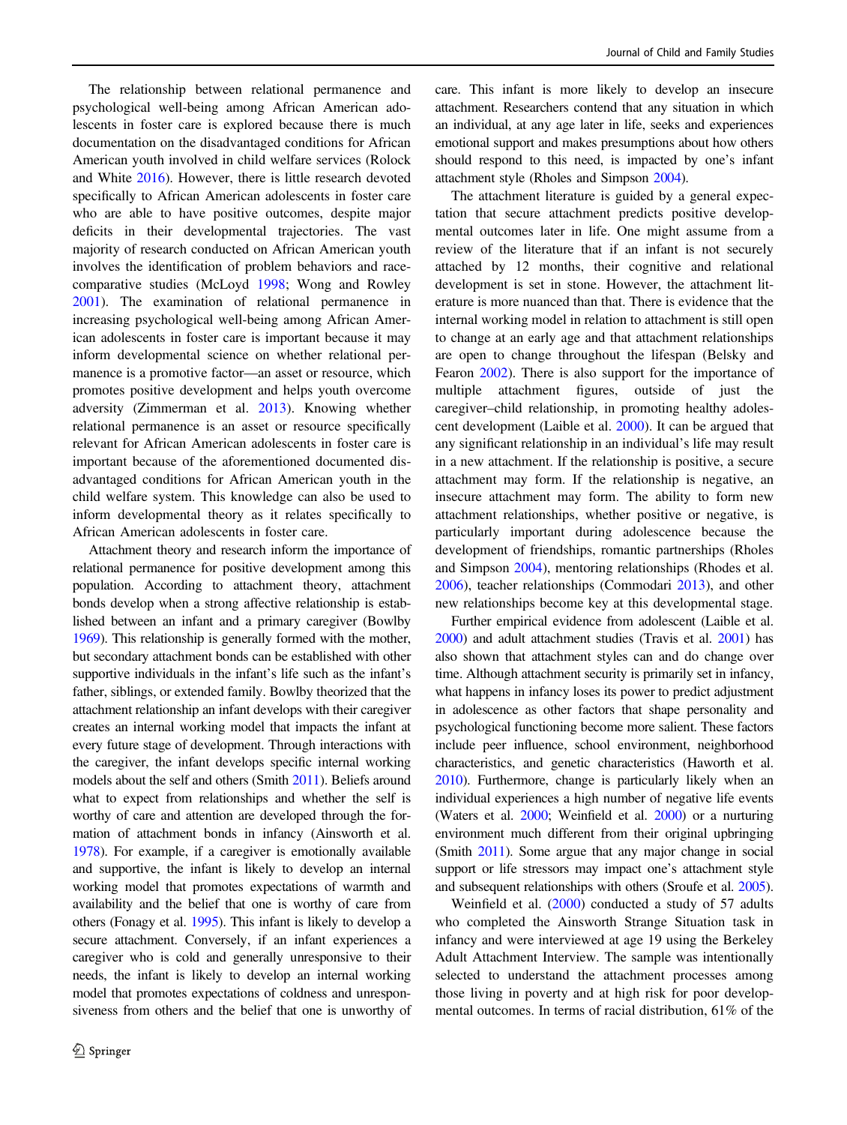The relationship between relational permanence and psychological well-being among African American adolescents in foster care is explored because there is much documentation on the disadvantaged conditions for African American youth involved in child welfare services (Rolock and White [2016](#page-10-0)). However, there is little research devoted specifically to African American adolescents in foster care who are able to have positive outcomes, despite major deficits in their developmental trajectories. The vast majority of research conducted on African American youth involves the identification of problem behaviors and racecomparative studies (McLoyd [1998;](#page-10-0) Wong and Rowley [2001\)](#page-11-0). The examination of relational permanence in increasing psychological well-being among African American adolescents in foster care is important because it may inform developmental science on whether relational permanence is a promotive factor—an asset or resource, which promotes positive development and helps youth overcome adversity (Zimmerman et al. [2013\)](#page-11-0). Knowing whether relational permanence is an asset or resource specifically relevant for African American adolescents in foster care is important because of the aforementioned documented disadvantaged conditions for African American youth in the child welfare system. This knowledge can also be used to inform developmental theory as it relates specifically to African American adolescents in foster care.

Attachment theory and research inform the importance of relational permanence for positive development among this population. According to attachment theory, attachment bonds develop when a strong affective relationship is established between an infant and a primary caregiver (Bowlby [1969](#page-9-0)). This relationship is generally formed with the mother, but secondary attachment bonds can be established with other supportive individuals in the infant's life such as the infant's father, siblings, or extended family. Bowlby theorized that the attachment relationship an infant develops with their caregiver creates an internal working model that impacts the infant at every future stage of development. Through interactions with the caregiver, the infant develops specific internal working models about the self and others (Smith [2011](#page-10-0)). Beliefs around what to expect from relationships and whether the self is worthy of care and attention are developed through the formation of attachment bonds in infancy (Ainsworth et al. [1978](#page-9-0)). For example, if a caregiver is emotionally available and supportive, the infant is likely to develop an internal working model that promotes expectations of warmth and availability and the belief that one is worthy of care from others (Fonagy et al. [1995\)](#page-10-0). This infant is likely to develop a secure attachment. Conversely, if an infant experiences a caregiver who is cold and generally unresponsive to their needs, the infant is likely to develop an internal working model that promotes expectations of coldness and unresponsiveness from others and the belief that one is unworthy of care. This infant is more likely to develop an insecure attachment. Researchers contend that any situation in which an individual, at any age later in life, seeks and experiences emotional support and makes presumptions about how others should respond to this need, is impacted by one's infant attachment style (Rholes and Simpson [2004](#page-10-0)).

The attachment literature is guided by a general expectation that secure attachment predicts positive developmental outcomes later in life. One might assume from a review of the literature that if an infant is not securely attached by 12 months, their cognitive and relational development is set in stone. However, the attachment literature is more nuanced than that. There is evidence that the internal working model in relation to attachment is still open to change at an early age and that attachment relationships are open to change throughout the lifespan (Belsky and Fearon [2002](#page-9-0)). There is also support for the importance of multiple attachment figures, outside of just the caregiver–child relationship, in promoting healthy adolescent development (Laible et al. [2000](#page-10-0)). It can be argued that any significant relationship in an individual's life may result in a new attachment. If the relationship is positive, a secure attachment may form. If the relationship is negative, an insecure attachment may form. The ability to form new attachment relationships, whether positive or negative, is particularly important during adolescence because the development of friendships, romantic partnerships (Rholes and Simpson [2004\)](#page-10-0), mentoring relationships (Rhodes et al. [2006](#page-10-0)), teacher relationships (Commodari [2013](#page-9-0)), and other new relationships become key at this developmental stage.

Further empirical evidence from adolescent (Laible et al. [2000\)](#page-10-0) and adult attachment studies (Travis et al. [2001](#page-10-0)) has also shown that attachment styles can and do change over time. Although attachment security is primarily set in infancy, what happens in infancy loses its power to predict adjustment in adolescence as other factors that shape personality and psychological functioning become more salient. These factors include peer influence, school environment, neighborhood characteristics, and genetic characteristics (Haworth et al. [2010\)](#page-10-0). Furthermore, change is particularly likely when an individual experiences a high number of negative life events (Waters et al. [2000](#page-11-0); Weinfield et al. [2000\)](#page-11-0) or a nurturing environment much different from their original upbringing (Smith [2011\)](#page-10-0). Some argue that any major change in social support or life stressors may impact one's attachment style and subsequent relationships with others (Sroufe et al. [2005\)](#page-10-0).

Weinfield et al. [\(2000](#page-11-0)) conducted a study of 57 adults who completed the Ainsworth Strange Situation task in infancy and were interviewed at age 19 using the Berkeley Adult Attachment Interview. The sample was intentionally selected to understand the attachment processes among those living in poverty and at high risk for poor developmental outcomes. In terms of racial distribution, 61% of the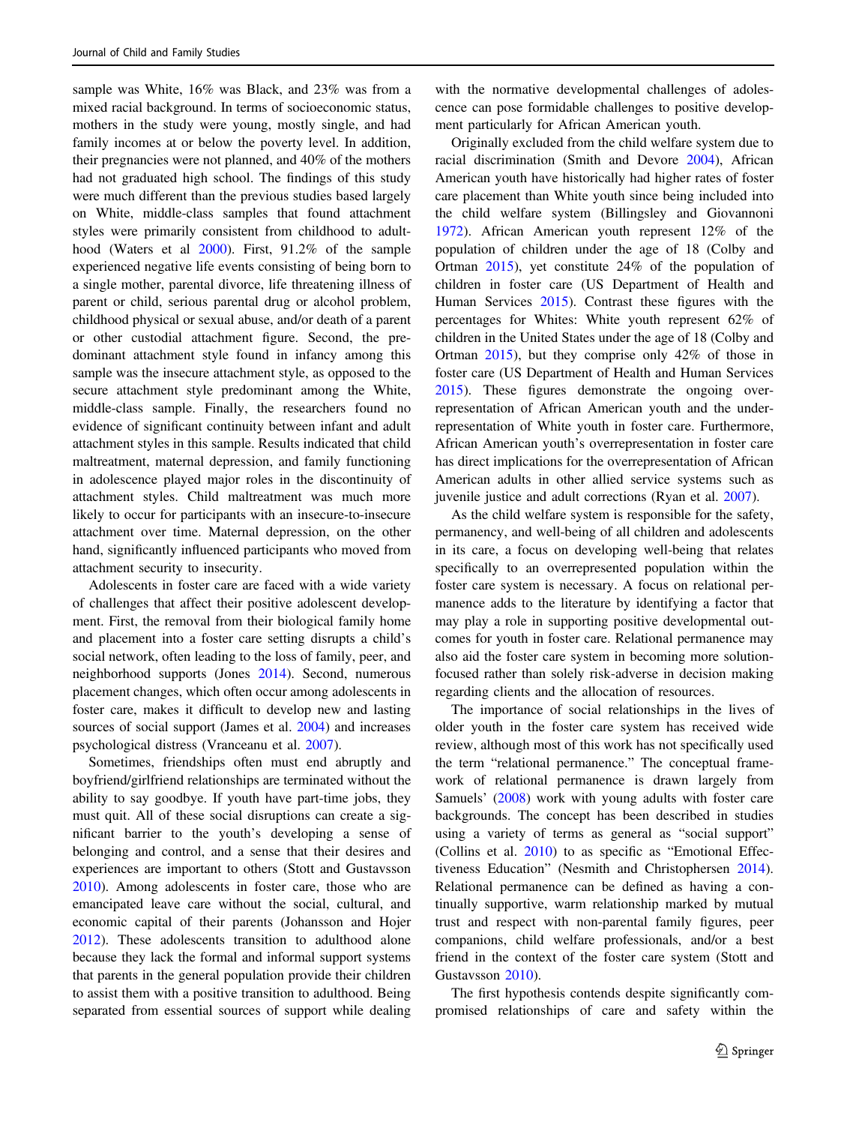sample was White, 16% was Black, and 23% was from a mixed racial background. In terms of socioeconomic status, mothers in the study were young, mostly single, and had family incomes at or below the poverty level. In addition, their pregnancies were not planned, and 40% of the mothers had not graduated high school. The findings of this study were much different than the previous studies based largely on White, middle-class samples that found attachment styles were primarily consistent from childhood to adulthood (Waters et al [2000\)](#page-11-0). First, 91.2% of the sample experienced negative life events consisting of being born to a single mother, parental divorce, life threatening illness of parent or child, serious parental drug or alcohol problem, childhood physical or sexual abuse, and/or death of a parent or other custodial attachment figure. Second, the predominant attachment style found in infancy among this sample was the insecure attachment style, as opposed to the secure attachment style predominant among the White, middle-class sample. Finally, the researchers found no evidence of significant continuity between infant and adult attachment styles in this sample. Results indicated that child maltreatment, maternal depression, and family functioning in adolescence played major roles in the discontinuity of attachment styles. Child maltreatment was much more likely to occur for participants with an insecure-to-insecure attachment over time. Maternal depression, on the other hand, significantly influenced participants who moved from attachment security to insecurity.

Adolescents in foster care are faced with a wide variety of challenges that affect their positive adolescent development. First, the removal from their biological family home and placement into a foster care setting disrupts a child's social network, often leading to the loss of family, peer, and neighborhood supports (Jones [2014\)](#page-10-0). Second, numerous placement changes, which often occur among adolescents in foster care, makes it difficult to develop new and lasting sources of social support (James et al. [2004\)](#page-10-0) and increases psychological distress (Vranceanu et al. [2007\)](#page-10-0).

Sometimes, friendships often must end abruptly and boyfriend/girlfriend relationships are terminated without the ability to say goodbye. If youth have part-time jobs, they must quit. All of these social disruptions can create a significant barrier to the youth's developing a sense of belonging and control, and a sense that their desires and experiences are important to others (Stott and Gustavsson [2010\)](#page-10-0). Among adolescents in foster care, those who are emancipated leave care without the social, cultural, and economic capital of their parents (Johansson and Hojer [2012\)](#page-10-0). These adolescents transition to adulthood alone because they lack the formal and informal support systems that parents in the general population provide their children to assist them with a positive transition to adulthood. Being separated from essential sources of support while dealing

with the normative developmental challenges of adolescence can pose formidable challenges to positive development particularly for African American youth.

Originally excluded from the child welfare system due to racial discrimination (Smith and Devore [2004\)](#page-10-0), African American youth have historically had higher rates of foster care placement than White youth since being included into the child welfare system (Billingsley and Giovannoni [1972](#page-9-0)). African American youth represent 12% of the population of children under the age of 18 (Colby and Ortman [2015\)](#page-9-0), yet constitute 24% of the population of children in foster care (US Department of Health and Human Services [2015\)](#page-10-0). Contrast these figures with the percentages for Whites: White youth represent 62% of children in the United States under the age of 18 (Colby and Ortman [2015](#page-9-0)), but they comprise only 42% of those in foster care (US Department of Health and Human Services [2015](#page-10-0)). These figures demonstrate the ongoing overrepresentation of African American youth and the underrepresentation of White youth in foster care. Furthermore, African American youth's overrepresentation in foster care has direct implications for the overrepresentation of African American adults in other allied service systems such as juvenile justice and adult corrections (Ryan et al. [2007\)](#page-10-0).

As the child welfare system is responsible for the safety, permanency, and well-being of all children and adolescents in its care, a focus on developing well-being that relates specifically to an overrepresented population within the foster care system is necessary. A focus on relational permanence adds to the literature by identifying a factor that may play a role in supporting positive developmental outcomes for youth in foster care. Relational permanence may also aid the foster care system in becoming more solutionfocused rather than solely risk-adverse in decision making regarding clients and the allocation of resources.

The importance of social relationships in the lives of older youth in the foster care system has received wide review, although most of this work has not specifically used the term "relational permanence." The conceptual framework of relational permanence is drawn largely from Samuels' [\(2008](#page-10-0)) work with young adults with foster care backgrounds. The concept has been described in studies using a variety of terms as general as "social support" (Collins et al. [2010\)](#page-9-0) to as specific as "Emotional Effectiveness Education" (Nesmith and Christophersen [2014\)](#page-10-0). Relational permanence can be defined as having a continually supportive, warm relationship marked by mutual trust and respect with non-parental family figures, peer companions, child welfare professionals, and/or a best friend in the context of the foster care system (Stott and Gustavsson [2010](#page-10-0)).

The first hypothesis contends despite significantly compromised relationships of care and safety within the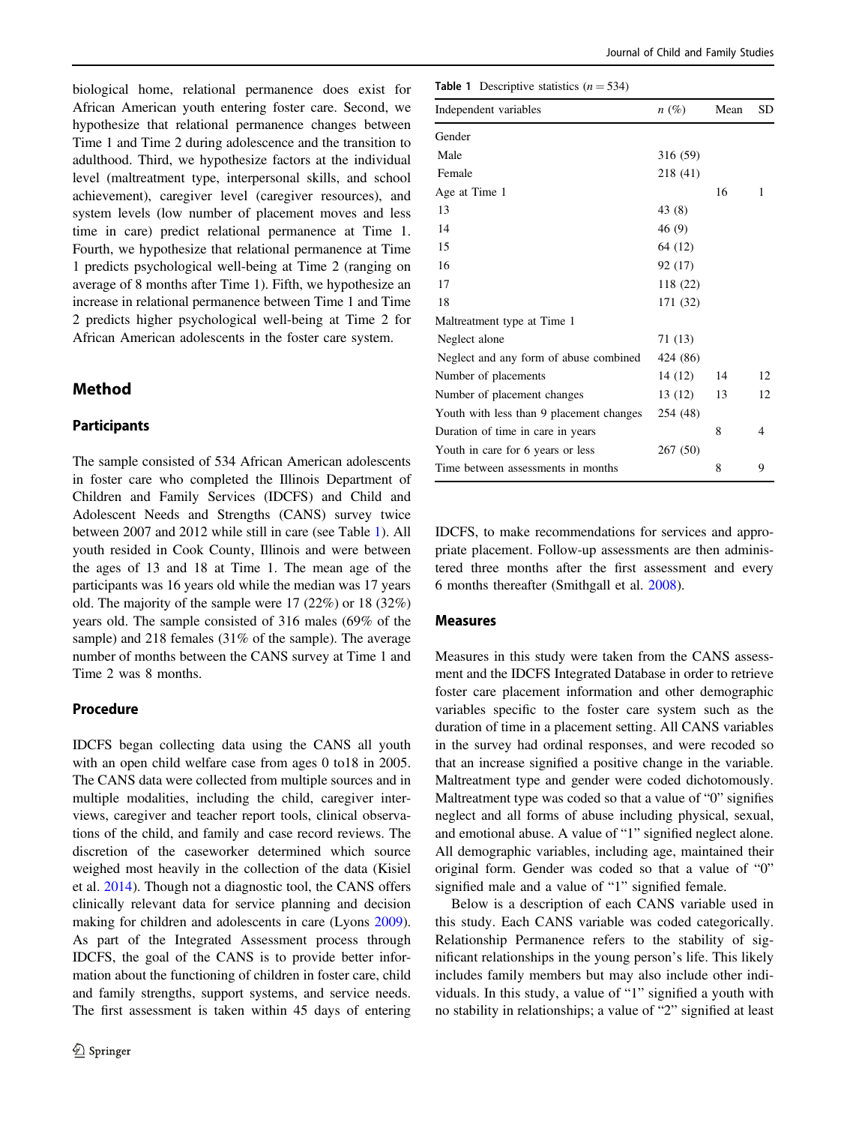<span id="page-4-0"></span>biological home, relational permanence does exist for African American youth entering foster care. Second, we hypothesize that relational permanence changes between Time 1 and Time 2 during adolescence and the transition to adulthood. Third, we hypothesize factors at the individual level (maltreatment type, interpersonal skills, and school achievement), caregiver level (caregiver resources), and system levels (low number of placement moves and less time in care) predict relational permanence at Time 1. Fourth, we hypothesize that relational permanence at Time 1 predicts psychological well-being at Time 2 (ranging on average of 8 months after Time 1). Fifth, we hypothesize an increase in relational permanence between Time 1 and Time 2 predicts higher psychological well-being at Time 2 for African American adolescents in the foster care system.

## Method

## Participants

The sample consisted of 534 African American adolescents in foster care who completed the Illinois Department of Children and Family Services (IDCFS) and Child and Adolescent Needs and Strengths (CANS) survey twice between 2007 and 2012 while still in care (see Table 1). All youth resided in Cook County, Illinois and were between the ages of 13 and 18 at Time 1. The mean age of the participants was 16 years old while the median was 17 years old. The majority of the sample were 17 (22%) or 18 (32%) years old. The sample consisted of 316 males (69% of the sample) and 218 females (31% of the sample). The average number of months between the CANS survey at Time 1 and Time 2 was 8 months.

### Procedure

IDCFS began collecting data using the CANS all youth with an open child welfare case from ages 0 to18 in 2005. The CANS data were collected from multiple sources and in multiple modalities, including the child, caregiver interviews, caregiver and teacher report tools, clinical observations of the child, and family and case record reviews. The discretion of the caseworker determined which source weighed most heavily in the collection of the data (Kisiel et al. [2014](#page-10-0)). Though not a diagnostic tool, the CANS offers clinically relevant data for service planning and decision making for children and adolescents in care (Lyons [2009](#page-10-0)). As part of the Integrated Assessment process through IDCFS, the goal of the CANS is to provide better information about the functioning of children in foster care, child and family strengths, support systems, and service needs. The first assessment is taken within 45 days of entering

| <b>Table 1</b> Descriptive statistics $(n = 534)$ |          |      |    |  |
|---------------------------------------------------|----------|------|----|--|
| Independent variables                             | $n(\%)$  | Mean | SD |  |
| Gender                                            |          |      |    |  |
| Male                                              | 316 (59) |      |    |  |
| Female                                            | 218 (41) |      |    |  |
| Age at Time 1                                     |          | 16   | 1  |  |
| 13                                                | 43(8)    |      |    |  |
| 14                                                | 46 (9)   |      |    |  |
| 15                                                | 64 (12)  |      |    |  |
| 16                                                | 92 (17)  |      |    |  |
| 17                                                | 118 (22) |      |    |  |
| 18                                                | 171 (32) |      |    |  |
| Maltreatment type at Time 1                       |          |      |    |  |
| Neglect alone                                     | 71 (13)  |      |    |  |
| Neglect and any form of abuse combined            | 424 (86) |      |    |  |
| Number of placements                              | 14 (12)  | 14   | 12 |  |
| Number of placement changes                       | 13 (12)  | 13   | 12 |  |
| Youth with less than 9 placement changes          | 254 (48) |      |    |  |
| Duration of time in care in years                 |          | 8    | 4  |  |
| Youth in care for 6 years or less                 | 267 (50) |      |    |  |
| Time between assessments in months                |          | 8    | 9  |  |
|                                                   |          |      |    |  |

IDCFS, to make recommendations for services and appropriate placement. Follow-up assessments are then administered three months after the first assessment and every 6 months thereafter (Smithgall et al. [2008\)](#page-10-0).

#### Measures

Measures in this study were taken from the CANS assessment and the IDCFS Integrated Database in order to retrieve foster care placement information and other demographic variables specific to the foster care system such as the duration of time in a placement setting. All CANS variables in the survey had ordinal responses, and were recoded so that an increase signified a positive change in the variable. Maltreatment type and gender were coded dichotomously. Maltreatment type was coded so that a value of "0" signifies neglect and all forms of abuse including physical, sexual, and emotional abuse. A value of "1" signified neglect alone. All demographic variables, including age, maintained their original form. Gender was coded so that a value of "0" signified male and a value of "1" signified female.

Below is a description of each CANS variable used in this study. Each CANS variable was coded categorically. Relationship Permanence refers to the stability of significant relationships in the young person's life. This likely includes family members but may also include other individuals. In this study, a value of "1" signified a youth with no stability in relationships; a value of "2" signified at least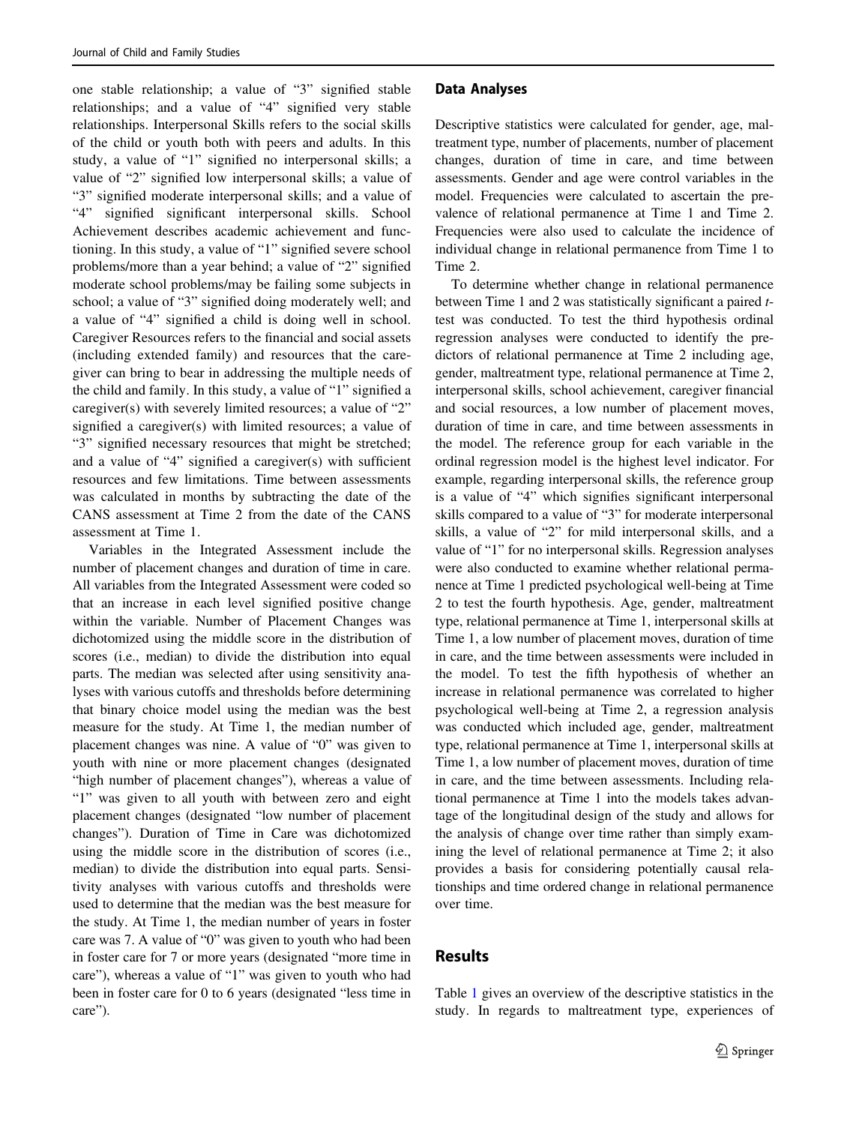one stable relationship; a value of "3" signified stable relationships; and a value of "4" signified very stable relationships. Interpersonal Skills refers to the social skills of the child or youth both with peers and adults. In this study, a value of "1" signified no interpersonal skills; a value of "2" signified low interpersonal skills; a value of "3" signified moderate interpersonal skills; and a value of "4" signified significant interpersonal skills. School Achievement describes academic achievement and functioning. In this study, a value of "1" signified severe school problems/more than a year behind; a value of "2" signified moderate school problems/may be failing some subjects in school; a value of "3" signified doing moderately well; and a value of "4" signified a child is doing well in school. Caregiver Resources refers to the financial and social assets (including extended family) and resources that the caregiver can bring to bear in addressing the multiple needs of the child and family. In this study, a value of "1" signified a caregiver(s) with severely limited resources; a value of "2" signified a caregiver(s) with limited resources; a value of "3" signified necessary resources that might be stretched; and a value of "4" signified a caregiver(s) with sufficient resources and few limitations. Time between assessments was calculated in months by subtracting the date of the CANS assessment at Time 2 from the date of the CANS assessment at Time 1.

Variables in the Integrated Assessment include the number of placement changes and duration of time in care. All variables from the Integrated Assessment were coded so that an increase in each level signified positive change within the variable. Number of Placement Changes was dichotomized using the middle score in the distribution of scores (i.e., median) to divide the distribution into equal parts. The median was selected after using sensitivity analyses with various cutoffs and thresholds before determining that binary choice model using the median was the best measure for the study. At Time 1, the median number of placement changes was nine. A value of "0" was given to youth with nine or more placement changes (designated "high number of placement changes"), whereas a value of "1" was given to all youth with between zero and eight placement changes (designated "low number of placement changes"). Duration of Time in Care was dichotomized using the middle score in the distribution of scores (i.e., median) to divide the distribution into equal parts. Sensitivity analyses with various cutoffs and thresholds were used to determine that the median was the best measure for the study. At Time 1, the median number of years in foster care was 7. A value of "0" was given to youth who had been in foster care for 7 or more years (designated "more time in care"), whereas a value of "1" was given to youth who had been in foster care for 0 to 6 years (designated "less time in care").

## Data Analyses

Descriptive statistics were calculated for gender, age, maltreatment type, number of placements, number of placement changes, duration of time in care, and time between assessments. Gender and age were control variables in the model. Frequencies were calculated to ascertain the prevalence of relational permanence at Time 1 and Time 2. Frequencies were also used to calculate the incidence of individual change in relational permanence from Time 1 to Time 2.

To determine whether change in relational permanence between Time 1 and 2 was statistically significant a paired ttest was conducted. To test the third hypothesis ordinal regression analyses were conducted to identify the predictors of relational permanence at Time 2 including age, gender, maltreatment type, relational permanence at Time 2, interpersonal skills, school achievement, caregiver financial and social resources, a low number of placement moves, duration of time in care, and time between assessments in the model. The reference group for each variable in the ordinal regression model is the highest level indicator. For example, regarding interpersonal skills, the reference group is a value of "4" which signifies significant interpersonal skills compared to a value of "3" for moderate interpersonal skills, a value of "2" for mild interpersonal skills, and a value of "1" for no interpersonal skills. Regression analyses were also conducted to examine whether relational permanence at Time 1 predicted psychological well-being at Time 2 to test the fourth hypothesis. Age, gender, maltreatment type, relational permanence at Time 1, interpersonal skills at Time 1, a low number of placement moves, duration of time in care, and the time between assessments were included in the model. To test the fifth hypothesis of whether an increase in relational permanence was correlated to higher psychological well-being at Time 2, a regression analysis was conducted which included age, gender, maltreatment type, relational permanence at Time 1, interpersonal skills at Time 1, a low number of placement moves, duration of time in care, and the time between assessments. Including relational permanence at Time 1 into the models takes advantage of the longitudinal design of the study and allows for the analysis of change over time rather than simply examining the level of relational permanence at Time 2; it also provides a basis for considering potentially causal relationships and time ordered change in relational permanence over time.

## Results

Table [1](#page-4-0) gives an overview of the descriptive statistics in the study. In regards to maltreatment type, experiences of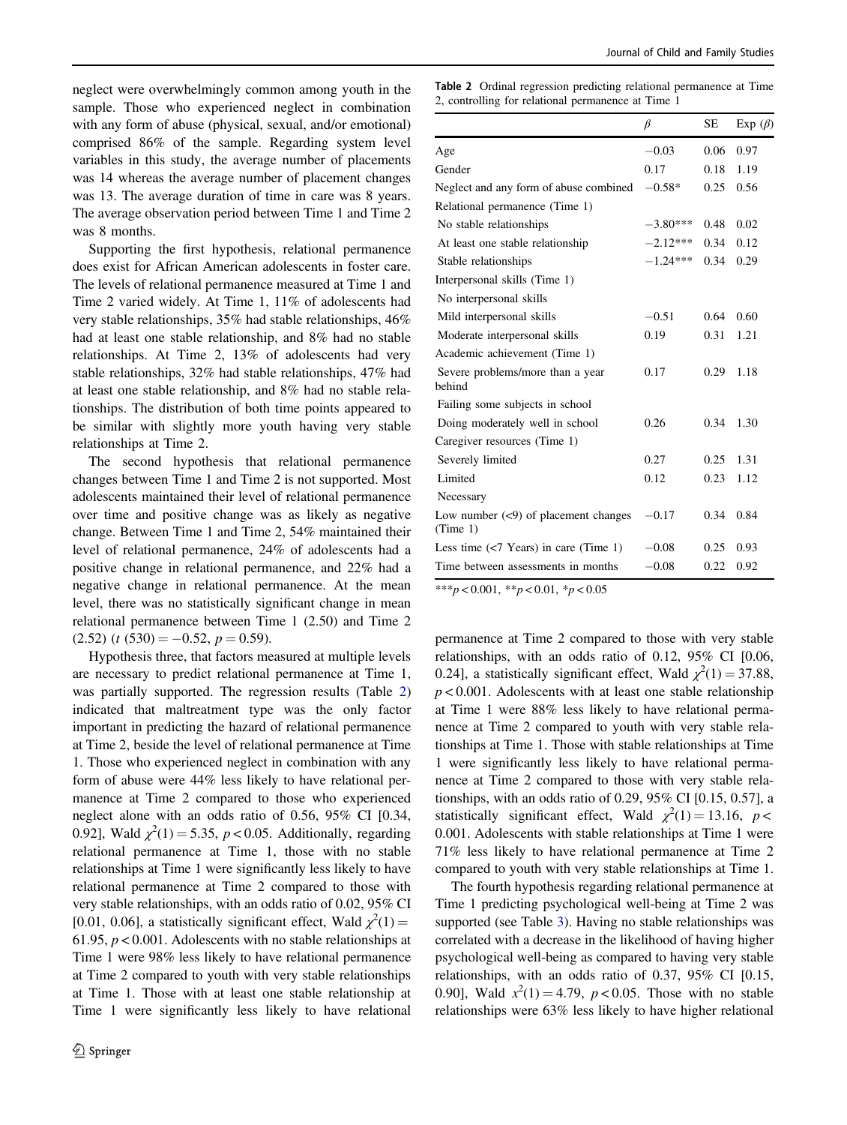neglect were overwhelmingly common among youth in the sample. Those who experienced neglect in combination with any form of abuse (physical, sexual, and/or emotional) comprised 86% of the sample. Regarding system level variables in this study, the average number of placements was 14 whereas the average number of placement changes was 13. The average duration of time in care was 8 years. The average observation period between Time 1 and Time 2 was 8 months.

Supporting the first hypothesis, relational permanence does exist for African American adolescents in foster care. The levels of relational permanence measured at Time 1 and Time 2 varied widely. At Time 1, 11% of adolescents had very stable relationships, 35% had stable relationships, 46% had at least one stable relationship, and 8% had no stable relationships. At Time 2, 13% of adolescents had very stable relationships, 32% had stable relationships, 47% had at least one stable relationship, and 8% had no stable relationships. The distribution of both time points appeared to be similar with slightly more youth having very stable relationships at Time 2.

The second hypothesis that relational permanence changes between Time 1 and Time 2 is not supported. Most adolescents maintained their level of relational permanence over time and positive change was as likely as negative change. Between Time 1 and Time 2, 54% maintained their level of relational permanence, 24% of adolescents had a positive change in relational permanence, and 22% had a negative change in relational permanence. At the mean level, there was no statistically significant change in mean relational permanence between Time 1 (2.50) and Time 2  $(2.52)$   $(t$   $(530) = -0.52, p = 0.59)$ .

Hypothesis three, that factors measured at multiple levels are necessary to predict relational permanence at Time 1, was partially supported. The regression results (Table 2) indicated that maltreatment type was the only factor important in predicting the hazard of relational permanence at Time 2, beside the level of relational permanence at Time 1. Those who experienced neglect in combination with any form of abuse were 44% less likely to have relational permanence at Time 2 compared to those who experienced neglect alone with an odds ratio of 0.56, 95% CI [0.34, 0.92], Wald  $\chi^2(1) = 5.35$ ,  $p < 0.05$ . Additionally, regarding relational permanence at Time 1, those with no stable relationships at Time 1 were significantly less likely to have relational permanence at Time 2 compared to those with very stable relationships, with an odds ratio of 0.02, 95% CI [0.01, 0.06], a statistically significant effect, Wald  $\chi^2(1)$  = 61.95,  $p < 0.001$ . Adolescents with no stable relationships at Time 1 were 98% less likely to have relational permanence at Time 2 compared to youth with very stable relationships at Time 1. Those with at least one stable relationship at Time 1 were significantly less likely to have relational Table 2 Ordinal regression predicting relational permanence at Time 2, controlling for relational permanence at Time 1

|                                                        | $\beta$    | SE   | Exp $(\beta)$ |
|--------------------------------------------------------|------------|------|---------------|
| Age                                                    | $-0.03$    | 0.06 | 0.97          |
| Gender                                                 | 0.17       | 0.18 | 1.19          |
| Neglect and any form of abuse combined                 | $-0.58*$   | 0.25 | 0.56          |
| Relational permanence (Time 1)                         |            |      |               |
| No stable relationships                                | $-3.80***$ | 0.48 | 0.02          |
| At least one stable relationship                       | $-2.12***$ | 0.34 | 0.12          |
| Stable relationships                                   | $-1.24***$ | 0.34 | 0.29          |
| Interpersonal skills (Time 1)                          |            |      |               |
| No interpersonal skills                                |            |      |               |
| Mild interpersonal skills                              | $-0.51$    | 0.64 | 0.60          |
| Moderate interpersonal skills                          | 0.19       | 0.31 | 1.21          |
| Academic achievement (Time 1)                          |            |      |               |
| Severe problems/more than a year<br>behind             | 0.17       | 0.29 | 1.18          |
| Failing some subjects in school                        |            |      |               |
| Doing moderately well in school                        | 0.26       | 0.34 | 1.30          |
| Caregiver resources (Time 1)                           |            |      |               |
| Severely limited                                       | 0.27       | 0.25 | 1.31          |
| Limited                                                | 0.12       | 0.23 | 1.12          |
| Necessary                                              |            |      |               |
| Low number $(\leq 9)$ of placement changes<br>(Time 1) | $-0.17$    | 0.34 | 0.84          |
| Less time $\left(\frac{5}{7}$ Years) in care (Time 1)  | $-0.08$    | 0.25 | 0.93          |
| Time between assessments in months                     | $-0.08$    | 0.22 | 0.92          |

\*\*\*p < 0.001, \*\*p < 0.01, \*p < 0.05

permanence at Time 2 compared to those with very stable relationships, with an odds ratio of 0.12, 95% CI [0.06, 0.24], a statistically significant effect, Wald  $\chi^2(1) = 37.88$ ,  $p < 0.001$ . Adolescents with at least one stable relationship at Time 1 were 88% less likely to have relational permanence at Time 2 compared to youth with very stable relationships at Time 1. Those with stable relationships at Time 1 were significantly less likely to have relational permanence at Time 2 compared to those with very stable relationships, with an odds ratio of 0.29, 95% CI [0.15, 0.57], a statistically significant effect, Wald  $\chi^2(1) = 13.16$ ,  $p <$ 0.001. Adolescents with stable relationships at Time 1 were 71% less likely to have relational permanence at Time 2 compared to youth with very stable relationships at Time 1.

The fourth hypothesis regarding relational permanence at Time 1 predicting psychological well-being at Time 2 was supported (see Table [3\)](#page-7-0). Having no stable relationships was correlated with a decrease in the likelihood of having higher psychological well-being as compared to having very stable relationships, with an odds ratio of 0.37, 95% CI [0.15, 0.90], Wald  $x^2(1) = 4.79$ ,  $p < 0.05$ . Those with no stable relationships were 63% less likely to have higher relational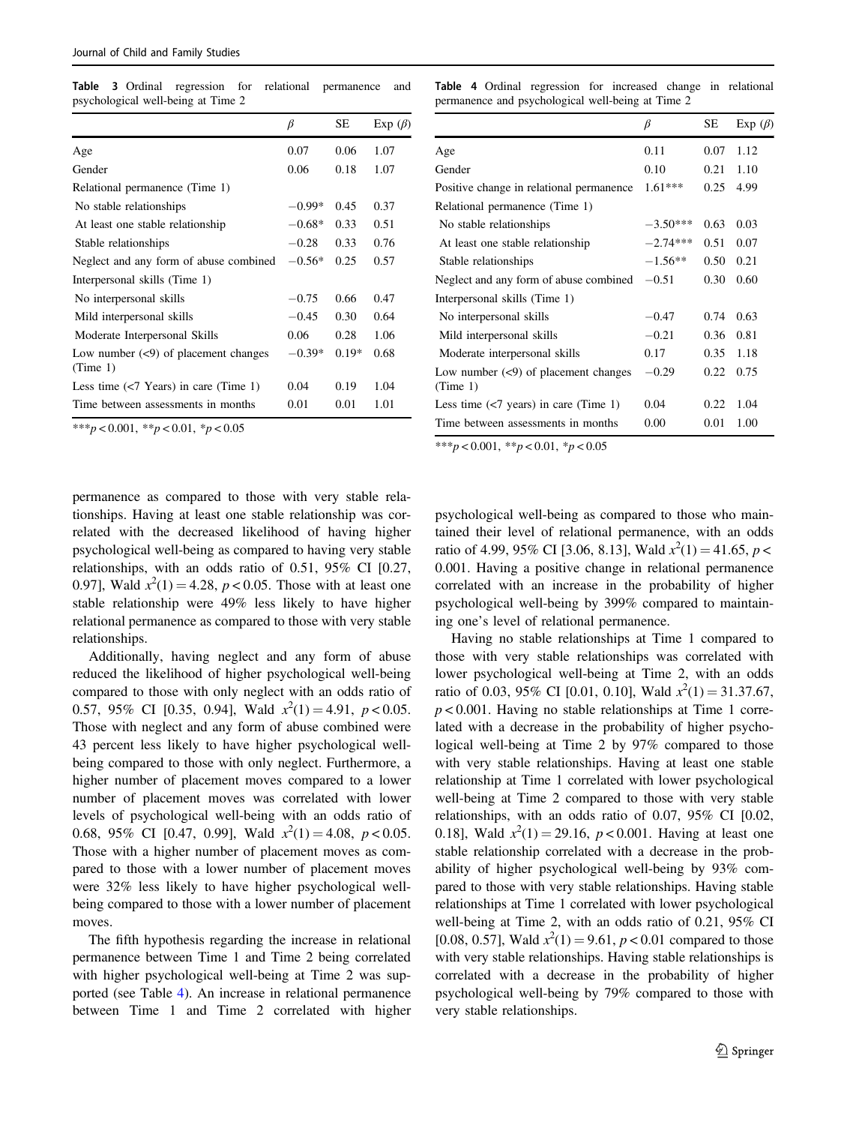<span id="page-7-0"></span>Table 3 Ordinal regression for relational permanence and psychological well-being at Time 2

|                                                        | β        | SЕ      | Exp $(\beta)$ |
|--------------------------------------------------------|----------|---------|---------------|
| Age                                                    | 0.07     | 0.06    | 1.07          |
| Gender                                                 | 0.06     | 0.18    | 1.07          |
| Relational permanence (Time 1)                         |          |         |               |
| No stable relationships                                | $-0.99*$ | 0.45    | 0.37          |
| At least one stable relationship                       | $-0.68*$ | 0.33    | 0.51          |
| Stable relationships                                   | $-0.28$  | 0.33    | 0.76          |
| Neglect and any form of abuse combined                 | $-0.56*$ | 0.25    | 0.57          |
| Interpersonal skills (Time 1)                          |          |         |               |
| No interpersonal skills                                | $-0.75$  | 0.66    | 0.47          |
| Mild interpersonal skills                              | $-0.45$  | 0.30    | 0.64          |
| Moderate Interpersonal Skills                          | 0.06     | 0.28    | 1.06          |
| Low number $(\leq 9)$ of placement changes<br>(Time 1) | $-0.39*$ | $0.19*$ | 0.68          |
| Less time $\left($ $\lt$ 7 Years) in care (Time 1)     | 0.04     | 0.19    | 1.04          |
| Time between assessments in months                     | 0.01     | 0.01    | 1.01          |

\*\*\*p < 0.001, \*\*p < 0.01, \*p < 0.05

Table 4 Ordinal regression for increased change in relational permanence and psychological well-being at Time 2

|                                                        | $_{\beta}$ | SЕ   | Exp $(\beta)$ |
|--------------------------------------------------------|------------|------|---------------|
| Age                                                    | 0.11       | 0.07 | 1.12          |
| Gender                                                 | 0.10       | 0.21 | 1.10          |
| Positive change in relational permanence               | $1.61***$  | 0.25 | 4.99          |
| Relational permanence (Time 1)                         |            |      |               |
| No stable relationships                                | $-3.50***$ | 0.63 | 0.03          |
| At least one stable relationship                       | $-2.74***$ | 0.51 | 0.07          |
| Stable relationships                                   | $-1.56**$  | 0.50 | 0.21          |
| Neglect and any form of abuse combined                 | $-0.51$    | 0.30 | 0.60          |
| Interpersonal skills (Time 1)                          |            |      |               |
| No interpersonal skills                                | $-0.47$    | 0.74 | 0.63          |
| Mild interpersonal skills                              | $-0.21$    | 0.36 | 0.81          |
| Moderate interpersonal skills                          | 0.17       | 0.35 | 1.18          |
| Low number $(\leq 9)$ of placement changes<br>(Time 1) | $-0.29$    | 0.22 | 0.75          |
| Less time $\left($ / $\right)$ years) in care (Time 1) | 0.04       | 0.22 | 1.04          |
| Time between assessments in months                     | 0.00       | 0.01 | 1.00          |

\*\*\*p < 0.001, \*\*p < 0.01, \*p < 0.05

permanence as compared to those with very stable relationships. Having at least one stable relationship was correlated with the decreased likelihood of having higher psychological well-being as compared to having very stable relationships, with an odds ratio of 0.51, 95% CI [0.27, 0.97], Wald  $x^2(1) = 4.28$ ,  $p < 0.05$ . Those with at least one stable relationship were 49% less likely to have higher relational permanence as compared to those with very stable relationships.

Additionally, having neglect and any form of abuse reduced the likelihood of higher psychological well-being compared to those with only neglect with an odds ratio of 0.57, 95% CI [0.35, 0.94], Wald  $x^2(1) = 4.91$ ,  $p < 0.05$ . Those with neglect and any form of abuse combined were 43 percent less likely to have higher psychological wellbeing compared to those with only neglect. Furthermore, a higher number of placement moves compared to a lower number of placement moves was correlated with lower levels of psychological well-being with an odds ratio of 0.68, 95% CI [0.47, 0.99], Wald  $x^2(1) = 4.08$ ,  $p < 0.05$ . Those with a higher number of placement moves as compared to those with a lower number of placement moves were 32% less likely to have higher psychological wellbeing compared to those with a lower number of placement moves.

The fifth hypothesis regarding the increase in relational permanence between Time 1 and Time 2 being correlated with higher psychological well-being at Time 2 was supported (see Table 4). An increase in relational permanence between Time 1 and Time 2 correlated with higher psychological well-being as compared to those who maintained their level of relational permanence, with an odds ratio of 4.99, 95% CI [3.06, 8.13], Wald  $x^2(1) = 41.65$ ,  $p <$ 0.001. Having a positive change in relational permanence correlated with an increase in the probability of higher psychological well-being by 399% compared to maintaining one's level of relational permanence.

Having no stable relationships at Time 1 compared to those with very stable relationships was correlated with lower psychological well-being at Time 2, with an odds ratio of 0.03, 95% CI [0.01, 0.10], Wald  $x^2(1) = 31.37.67$ ,  $p < 0.001$ . Having no stable relationships at Time 1 correlated with a decrease in the probability of higher psychological well-being at Time 2 by 97% compared to those with very stable relationships. Having at least one stable relationship at Time 1 correlated with lower psychological well-being at Time 2 compared to those with very stable relationships, with an odds ratio of 0.07, 95% CI [0.02, 0.18], Wald  $x^2(1) = 29.16$ ,  $p < 0.001$ . Having at least one stable relationship correlated with a decrease in the probability of higher psychological well-being by 93% compared to those with very stable relationships. Having stable relationships at Time 1 correlated with lower psychological well-being at Time 2, with an odds ratio of 0.21, 95% CI [0.08, 0.57], Wald  $x^2(1) = 9.61$ ,  $p < 0.01$  compared to those with very stable relationships. Having stable relationships is correlated with a decrease in the probability of higher psychological well-being by 79% compared to those with very stable relationships.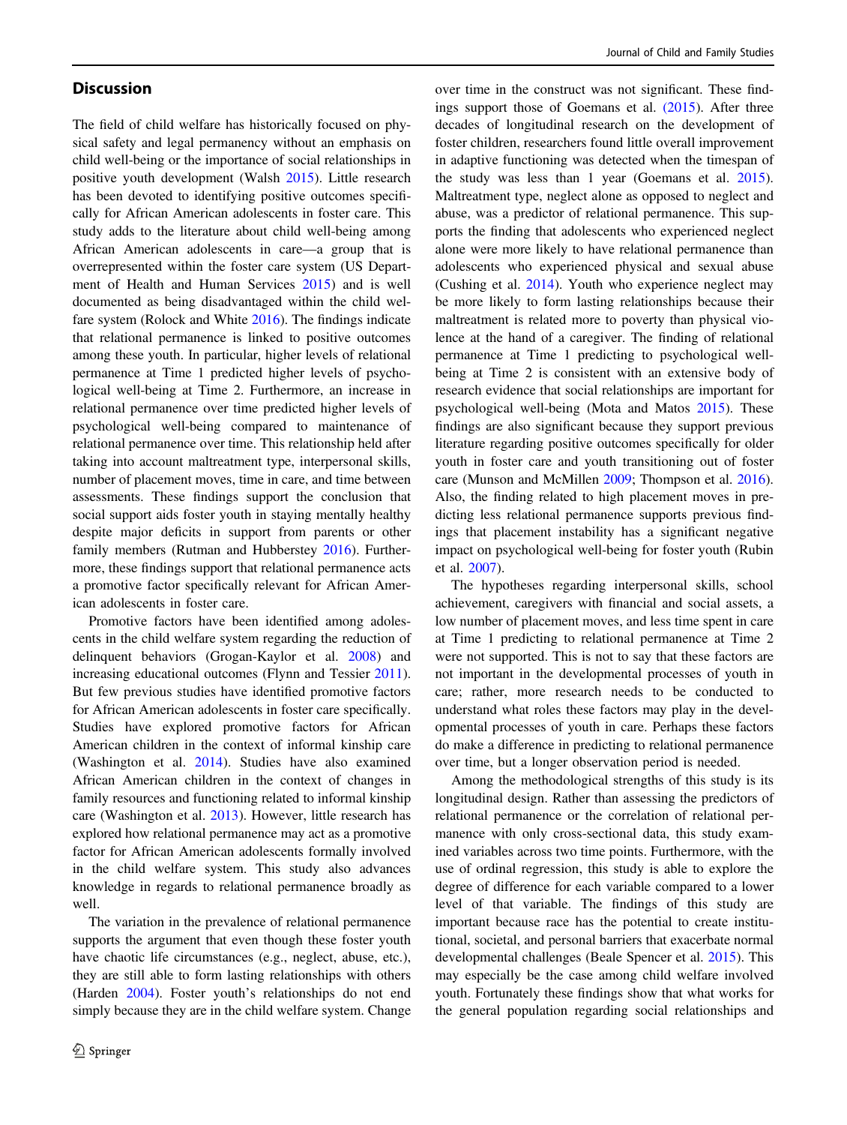# **Discussion**

The field of child welfare has historically focused on physical safety and legal permanency without an emphasis on child well-being or the importance of social relationships in positive youth development (Walsh [2015](#page-11-0)). Little research has been devoted to identifying positive outcomes specifically for African American adolescents in foster care. This study adds to the literature about child well-being among African American adolescents in care—a group that is overrepresented within the foster care system (US Department of Health and Human Services [2015\)](#page-10-0) and is well documented as being disadvantaged within the child welfare system (Rolock and White [2016](#page-10-0)). The findings indicate that relational permanence is linked to positive outcomes among these youth. In particular, higher levels of relational permanence at Time 1 predicted higher levels of psychological well-being at Time 2. Furthermore, an increase in relational permanence over time predicted higher levels of psychological well-being compared to maintenance of relational permanence over time. This relationship held after taking into account maltreatment type, interpersonal skills, number of placement moves, time in care, and time between assessments. These findings support the conclusion that social support aids foster youth in staying mentally healthy despite major deficits in support from parents or other family members (Rutman and Hubberstey [2016](#page-10-0)). Furthermore, these findings support that relational permanence acts a promotive factor specifically relevant for African American adolescents in foster care.

Promotive factors have been identified among adolescents in the child welfare system regarding the reduction of delinquent behaviors (Grogan-Kaylor et al. [2008\)](#page-10-0) and increasing educational outcomes (Flynn and Tessier [2011](#page-10-0)). But few previous studies have identified promotive factors for African American adolescents in foster care specifically. Studies have explored promotive factors for African American children in the context of informal kinship care (Washington et al. [2014\)](#page-11-0). Studies have also examined African American children in the context of changes in family resources and functioning related to informal kinship care (Washington et al. [2013\)](#page-11-0). However, little research has explored how relational permanence may act as a promotive factor for African American adolescents formally involved in the child welfare system. This study also advances knowledge in regards to relational permanence broadly as well.

The variation in the prevalence of relational permanence supports the argument that even though these foster youth have chaotic life circumstances (e.g., neglect, abuse, etc.), they are still able to form lasting relationships with others (Harden [2004\)](#page-10-0). Foster youth's relationships do not end simply because they are in the child welfare system. Change over time in the construct was not significant. These findings support those of Goemans et al. [\(2015](#page-10-0)). After three decades of longitudinal research on the development of foster children, researchers found little overall improvement in adaptive functioning was detected when the timespan of the study was less than 1 year (Goemans et al. [2015\)](#page-10-0). Maltreatment type, neglect alone as opposed to neglect and abuse, was a predictor of relational permanence. This supports the finding that adolescents who experienced neglect alone were more likely to have relational permanence than adolescents who experienced physical and sexual abuse (Cushing et al. [2014](#page-10-0)). Youth who experience neglect may be more likely to form lasting relationships because their maltreatment is related more to poverty than physical violence at the hand of a caregiver. The finding of relational permanence at Time 1 predicting to psychological wellbeing at Time 2 is consistent with an extensive body of research evidence that social relationships are important for psychological well-being (Mota and Matos [2015](#page-10-0)). These findings are also significant because they support previous literature regarding positive outcomes specifically for older youth in foster care and youth transitioning out of foster care (Munson and McMillen [2009](#page-10-0); Thompson et al. [2016\)](#page-10-0). Also, the finding related to high placement moves in predicting less relational permanence supports previous findings that placement instability has a significant negative impact on psychological well-being for foster youth (Rubin et al. [2007](#page-10-0)).

The hypotheses regarding interpersonal skills, school achievement, caregivers with financial and social assets, a low number of placement moves, and less time spent in care at Time 1 predicting to relational permanence at Time 2 were not supported. This is not to say that these factors are not important in the developmental processes of youth in care; rather, more research needs to be conducted to understand what roles these factors may play in the developmental processes of youth in care. Perhaps these factors do make a difference in predicting to relational permanence over time, but a longer observation period is needed.

Among the methodological strengths of this study is its longitudinal design. Rather than assessing the predictors of relational permanence or the correlation of relational permanence with only cross-sectional data, this study examined variables across two time points. Furthermore, with the use of ordinal regression, this study is able to explore the degree of difference for each variable compared to a lower level of that variable. The findings of this study are important because race has the potential to create institutional, societal, and personal barriers that exacerbate normal developmental challenges (Beale Spencer et al. [2015](#page-9-0)). This may especially be the case among child welfare involved youth. Fortunately these findings show that what works for the general population regarding social relationships and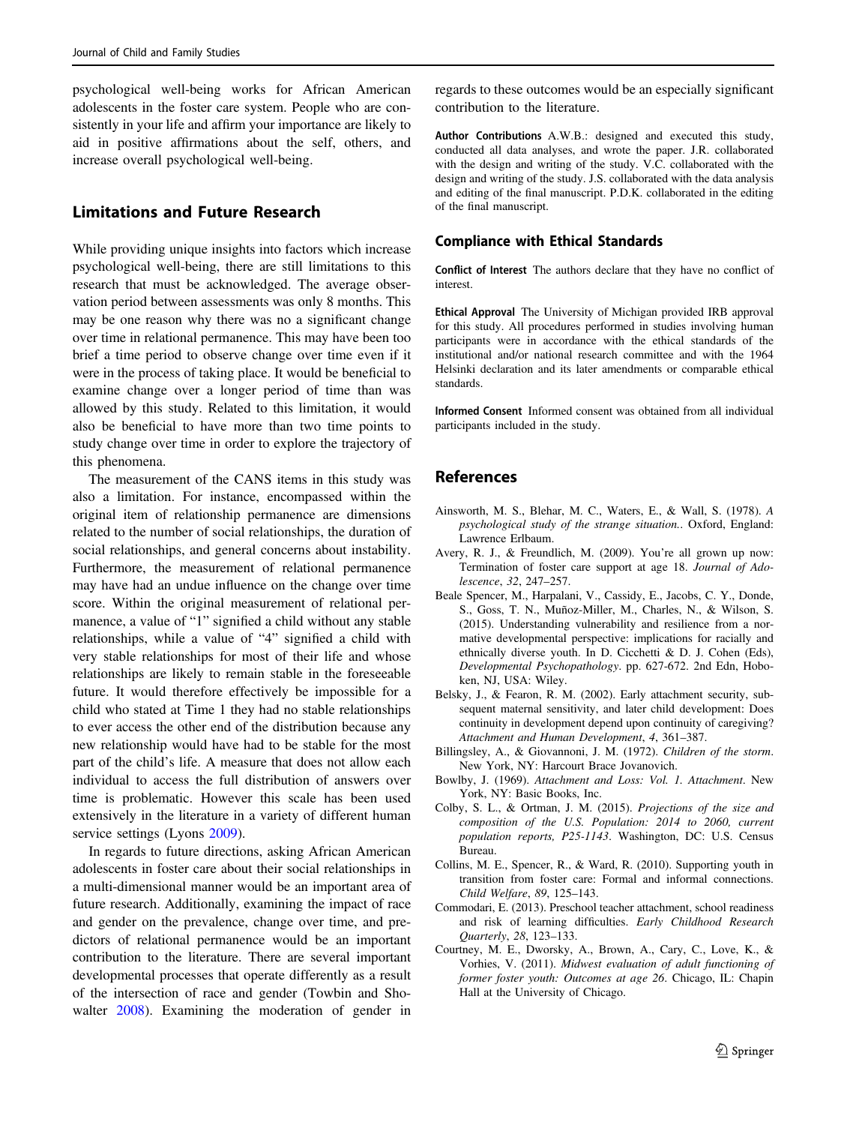<span id="page-9-0"></span>psychological well-being works for African American adolescents in the foster care system. People who are consistently in your life and affirm your importance are likely to aid in positive affirmations about the self, others, and increase overall psychological well-being.

# Limitations and Future Research

While providing unique insights into factors which increase psychological well-being, there are still limitations to this research that must be acknowledged. The average observation period between assessments was only 8 months. This may be one reason why there was no a significant change over time in relational permanence. This may have been too brief a time period to observe change over time even if it were in the process of taking place. It would be beneficial to examine change over a longer period of time than was allowed by this study. Related to this limitation, it would also be beneficial to have more than two time points to study change over time in order to explore the trajectory of this phenomena.

The measurement of the CANS items in this study was also a limitation. For instance, encompassed within the original item of relationship permanence are dimensions related to the number of social relationships, the duration of social relationships, and general concerns about instability. Furthermore, the measurement of relational permanence may have had an undue influence on the change over time score. Within the original measurement of relational permanence, a value of "1" signified a child without any stable relationships, while a value of "4" signified a child with very stable relationships for most of their life and whose relationships are likely to remain stable in the foreseeable future. It would therefore effectively be impossible for a child who stated at Time 1 they had no stable relationships to ever access the other end of the distribution because any new relationship would have had to be stable for the most part of the child's life. A measure that does not allow each individual to access the full distribution of answers over time is problematic. However this scale has been used extensively in the literature in a variety of different human service settings (Lyons [2009](#page-10-0)).

In regards to future directions, asking African American adolescents in foster care about their social relationships in a multi-dimensional manner would be an important area of future research. Additionally, examining the impact of race and gender on the prevalence, change over time, and predictors of relational permanence would be an important contribution to the literature. There are several important developmental processes that operate differently as a result of the intersection of race and gender (Towbin and Showalter [2008\)](#page-10-0). Examining the moderation of gender in

regards to these outcomes would be an especially significant contribution to the literature.

Author Contributions A.W.B.: designed and executed this study, conducted all data analyses, and wrote the paper. J.R. collaborated with the design and writing of the study. V.C. collaborated with the design and writing of the study. J.S. collaborated with the data analysis and editing of the final manuscript. P.D.K. collaborated in the editing of the final manuscript.

## Compliance with Ethical Standards

Conflict of Interest The authors declare that they have no conflict of interest.

Ethical Approval The University of Michigan provided IRB approval for this study. All procedures performed in studies involving human participants were in accordance with the ethical standards of the institutional and/or national research committee and with the 1964 Helsinki declaration and its later amendments or comparable ethical standards.

Informed Consent Informed consent was obtained from all individual participants included in the study.

# References

- Ainsworth, M. S., Blehar, M. C., Waters, E., & Wall, S. (1978). A psychological study of the strange situation.. Oxford, England: Lawrence Erlbaum.
- Avery, R. J., & Freundlich, M. (2009). You're all grown up now: Termination of foster care support at age 18. Journal of Adolescence, 32, 247–257.
- Beale Spencer, M., Harpalani, V., Cassidy, E., Jacobs, C. Y., Donde, S., Goss, T. N., Muñoz-Miller, M., Charles, N., & Wilson, S. (2015). Understanding vulnerability and resilience from a normative developmental perspective: implications for racially and ethnically diverse youth. In D. Cicchetti & D. J. Cohen (Eds), Developmental Psychopathology. pp. 627-672. 2nd Edn, Hoboken, NJ, USA: Wiley.
- Belsky, J., & Fearon, R. M. (2002). Early attachment security, subsequent maternal sensitivity, and later child development: Does continuity in development depend upon continuity of caregiving? Attachment and Human Development, 4, 361–387.
- Billingsley, A., & Giovannoni, J. M. (1972). Children of the storm. New York, NY: Harcourt Brace Jovanovich.
- Bowlby, J. (1969). Attachment and Loss: Vol. 1. Attachment. New York, NY: Basic Books, Inc.
- Colby, S. L., & Ortman, J. M. (2015). Projections of the size and composition of the U.S. Population: 2014 to 2060, current population reports, P25-1143. Washington, DC: U.S. Census Bureau.
- Collins, M. E., Spencer, R., & Ward, R. (2010). Supporting youth in transition from foster care: Formal and informal connections. Child Welfare, 89, 125–143.
- Commodari, E. (2013). Preschool teacher attachment, school readiness and risk of learning difficulties. Early Childhood Research Quarterly, 28, 123–133.
- Courtney, M. E., Dworsky, A., Brown, A., Cary, C., Love, K., & Vorhies, V. (2011). Midwest evaluation of adult functioning of former foster youth: Outcomes at age 26. Chicago, IL: Chapin Hall at the University of Chicago.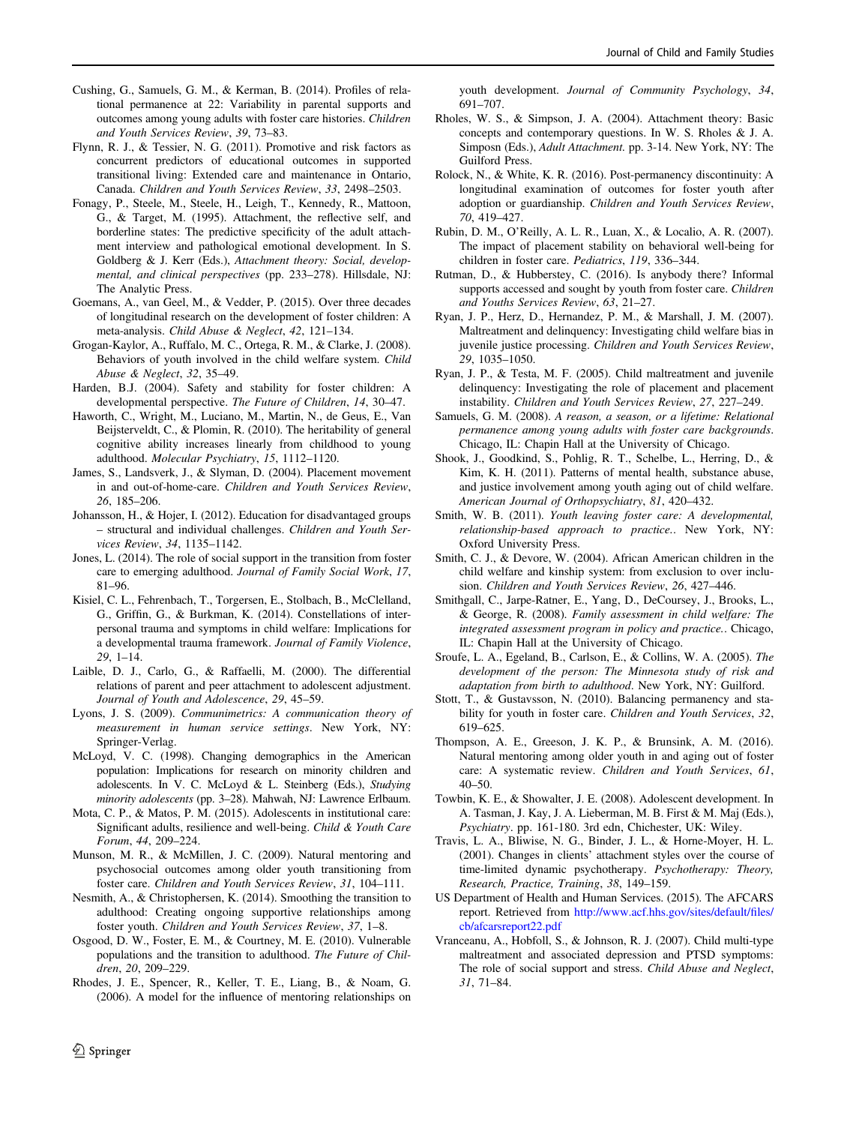- <span id="page-10-0"></span>Cushing, G., Samuels, G. M., & Kerman, B. (2014). Profiles of relational permanence at 22: Variability in parental supports and outcomes among young adults with foster care histories. Children and Youth Services Review, 39, 73–83.
- Flynn, R. J., & Tessier, N. G. (2011). Promotive and risk factors as concurrent predictors of educational outcomes in supported transitional living: Extended care and maintenance in Ontario, Canada. Children and Youth Services Review, 33, 2498–2503.
- Fonagy, P., Steele, M., Steele, H., Leigh, T., Kennedy, R., Mattoon, G., & Target, M. (1995). Attachment, the reflective self, and borderline states: The predictive specificity of the adult attachment interview and pathological emotional development. In S. Goldberg & J. Kerr (Eds.), Attachment theory: Social, developmental, and clinical perspectives (pp. 233–278). Hillsdale, NJ: The Analytic Press.
- Goemans, A., van Geel, M., & Vedder, P. (2015). Over three decades of longitudinal research on the development of foster children: A meta-analysis. Child Abuse & Neglect, 42, 121–134.
- Grogan-Kaylor, A., Ruffalo, M. C., Ortega, R. M., & Clarke, J. (2008). Behaviors of youth involved in the child welfare system. Child Abuse & Neglect, 32, 35–49.
- Harden, B.J. (2004). Safety and stability for foster children: A developmental perspective. The Future of Children, 14, 30–47.
- Haworth, C., Wright, M., Luciano, M., Martin, N., de Geus, E., Van Beijsterveldt, C., & Plomin, R. (2010). The heritability of general cognitive ability increases linearly from childhood to young adulthood. Molecular Psychiatry, 15, 1112–1120.
- James, S., Landsverk, J., & Slyman, D. (2004). Placement movement in and out-of-home-care. Children and Youth Services Review, 26, 185–206.
- Johansson, H., & Hojer, I. (2012). Education for disadvantaged groups – structural and individual challenges. Children and Youth Services Review, 34, 1135–1142.
- Jones, L. (2014). The role of social support in the transition from foster care to emerging adulthood. Journal of Family Social Work, 17, 81–96.
- Kisiel, C. L., Fehrenbach, T., Torgersen, E., Stolbach, B., McClelland, G., Griffin, G., & Burkman, K. (2014). Constellations of interpersonal trauma and symptoms in child welfare: Implications for a developmental trauma framework. Journal of Family Violence, 29, 1–14.
- Laible, D. J., Carlo, G., & Raffaelli, M. (2000). The differential relations of parent and peer attachment to adolescent adjustment. Journal of Youth and Adolescence, 29, 45–59.
- Lyons, J. S. (2009). Communimetrics: A communication theory of measurement in human service settings. New York, NY: Springer-Verlag.
- McLoyd, V. C. (1998). Changing demographics in the American population: Implications for research on minority children and adolescents. In V. C. McLoyd & L. Steinberg (Eds.), Studying minority adolescents (pp. 3–28). Mahwah, NJ: Lawrence Erlbaum.
- Mota, C. P., & Matos, P. M. (2015). Adolescents in institutional care: Significant adults, resilience and well-being. Child & Youth Care Forum, 44, 209–224.
- Munson, M. R., & McMillen, J. C. (2009). Natural mentoring and psychosocial outcomes among older youth transitioning from foster care. Children and Youth Services Review, 31, 104–111.
- Nesmith, A., & Christophersen, K. (2014). Smoothing the transition to adulthood: Creating ongoing supportive relationships among foster youth. Children and Youth Services Review, 37, 1–8.
- Osgood, D. W., Foster, E. M., & Courtney, M. E. (2010). Vulnerable populations and the transition to adulthood. The Future of Children, 20, 209–229.
- Rhodes, J. E., Spencer, R., Keller, T. E., Liang, B., & Noam, G. (2006). A model for the influence of mentoring relationships on

youth development. Journal of Community Psychology, 34, 691–707.

- Rholes, W. S., & Simpson, J. A. (2004). Attachment theory: Basic concepts and contemporary questions. In W. S. Rholes & J. A. Simposn (Eds.), Adult Attachment. pp. 3-14. New York, NY: The Guilford Press.
- Rolock, N., & White, K. R. (2016). Post-permanency discontinuity: A longitudinal examination of outcomes for foster youth after adoption or guardianship. Children and Youth Services Review, 70, 419–427.
- Rubin, D. M., O'Reilly, A. L. R., Luan, X., & Localio, A. R. (2007). The impact of placement stability on behavioral well-being for children in foster care. Pediatrics, 119, 336–344.
- Rutman, D., & Hubberstey, C. (2016). Is anybody there? Informal supports accessed and sought by youth from foster care. Children and Youths Services Review, 63, 21–27.
- Ryan, J. P., Herz, D., Hernandez, P. M., & Marshall, J. M. (2007). Maltreatment and delinquency: Investigating child welfare bias in juvenile justice processing. Children and Youth Services Review, 29, 1035–1050.
- Ryan, J. P., & Testa, M. F. (2005). Child maltreatment and juvenile delinquency: Investigating the role of placement and placement instability. Children and Youth Services Review, 27, 227–249.
- Samuels, G. M. (2008). A reason, a season, or a lifetime: Relational permanence among young adults with foster care backgrounds. Chicago, IL: Chapin Hall at the University of Chicago.
- Shook, J., Goodkind, S., Pohlig, R. T., Schelbe, L., Herring, D., & Kim, K. H. (2011). Patterns of mental health, substance abuse, and justice involvement among youth aging out of child welfare. American Journal of Orthopsychiatry, 81, 420–432.
- Smith, W. B. (2011). Youth leaving foster care: A developmental, relationship-based approach to practice.. New York, NY: Oxford University Press.
- Smith, C. J., & Devore, W. (2004). African American children in the child welfare and kinship system: from exclusion to over inclusion. Children and Youth Services Review, 26, 427–446.
- Smithgall, C., Jarpe-Ratner, E., Yang, D., DeCoursey, J., Brooks, L., & George, R. (2008). Family assessment in child welfare: The integrated assessment program in policy and practice.. Chicago, IL: Chapin Hall at the University of Chicago.
- Sroufe, L. A., Egeland, B., Carlson, E., & Collins, W. A. (2005). The development of the person: The Minnesota study of risk and adaptation from birth to adulthood. New York, NY: Guilford.
- Stott, T., & Gustavsson, N. (2010). Balancing permanency and stability for youth in foster care. Children and Youth Services, 32, 619–625.
- Thompson, A. E., Greeson, J. K. P., & Brunsink, A. M. (2016). Natural mentoring among older youth in and aging out of foster care: A systematic review. Children and Youth Services, 61, 40–50.
- Towbin, K. E., & Showalter, J. E. (2008). Adolescent development. In A. Tasman, J. Kay, J. A. Lieberman, M. B. First & M. Maj (Eds.), Psychiatry. pp. 161-180. 3rd edn, Chichester, UK: Wiley.
- Travis, L. A., Bliwise, N. G., Binder, J. L., & Horne-Moyer, H. L. (2001). Changes in clients' attachment styles over the course of time-limited dynamic psychotherapy. Psychotherapy: Theory, Research, Practice, Training, 38, 149–159.
- US Department of Health and Human Services. (2015). The AFCARS report. Retrieved from [http://www.acf.hhs.gov/sites/default/](http://www.acf.hhs.gov/sites/default/files/cb/afcarsreport22.pdf)files/ [cb/afcarsreport22.pdf](http://www.acf.hhs.gov/sites/default/files/cb/afcarsreport22.pdf)
- Vranceanu, A., Hobfoll, S., & Johnson, R. J. (2007). Child multi-type maltreatment and associated depression and PTSD symptoms: The role of social support and stress. Child Abuse and Neglect, 31, 71–84.